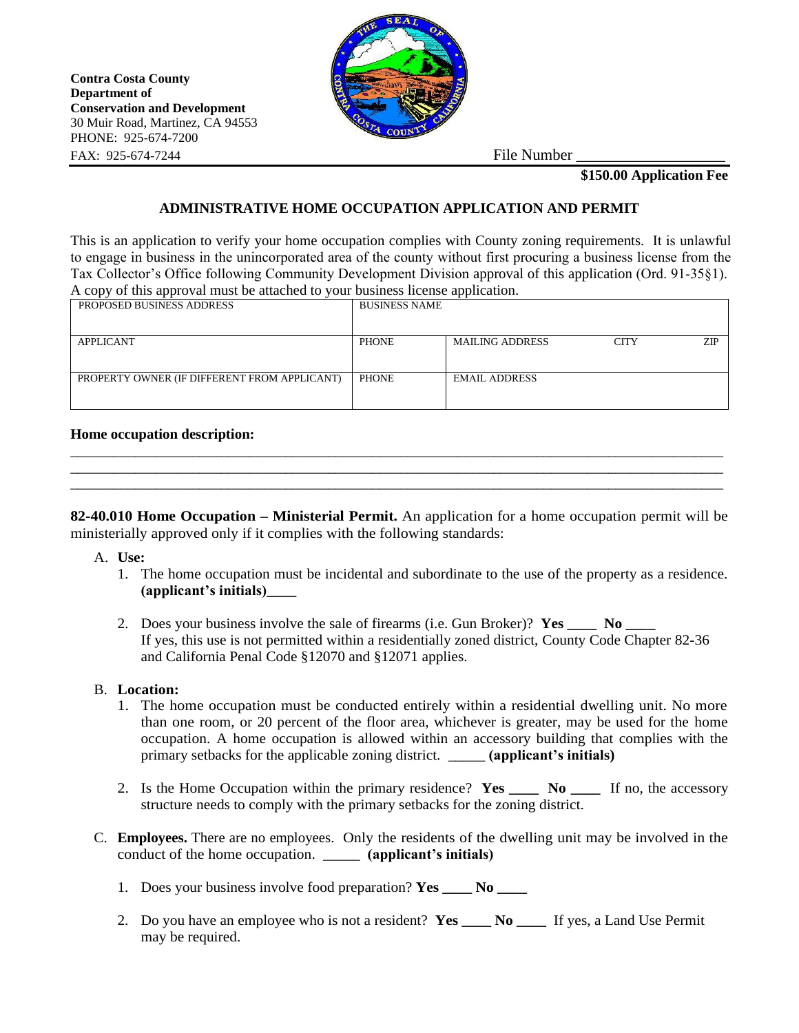**Contra Costa County Department of Conservation and Development** 30 Muir Road, Martinez, CA 94553 PHONE: 925-674-7200 FAX: 925-674-7244 File Number



**\$150.00 Application Fee**

## **ADMINISTRATIVE HOME OCCUPATION APPLICATION AND PERMIT**

This is an application to verify your home occupation complies with County zoning requirements. It is unlawful to engage in business in the unincorporated area of the county without first procuring a business license from the Tax Collector's Office following Community Development Division approval of this application (Ord. 91-35§1). A copy of this approval must be attached to your business license application.

| PROPOSED BUSINESS ADDRESS                    | <b>BUSINESS NAME</b> |                        |             |     |
|----------------------------------------------|----------------------|------------------------|-------------|-----|
|                                              |                      |                        |             |     |
|                                              |                      |                        |             |     |
| APPLICANT                                    | <b>PHONE</b>         | <b>MAILING ADDRESS</b> | <b>CITY</b> | ZIP |
|                                              |                      |                        |             |     |
| PROPERTY OWNER (IF DIFFERENT FROM APPLICANT) | <b>PHONE</b>         | <b>EMAIL ADDRESS</b>   |             |     |
|                                              |                      |                        |             |     |
|                                              |                      |                        |             |     |
|                                              |                      |                        |             |     |

## **Home occupation description:**

**82-40.010 Home Occupation – Ministerial Permit.** An application for a home occupation permit will be ministerially approved only if it complies with the following standards:

\_\_\_\_\_\_\_\_\_\_\_\_\_\_\_\_\_\_\_\_\_\_\_\_\_\_\_\_\_\_\_\_\_\_\_\_\_\_\_\_\_\_\_\_\_\_\_\_\_\_\_\_\_\_\_\_\_\_\_\_\_\_\_\_\_\_\_\_\_\_\_\_\_\_\_\_\_\_\_\_\_\_\_\_\_\_\_\_\_\_\_ \_\_\_\_\_\_\_\_\_\_\_\_\_\_\_\_\_\_\_\_\_\_\_\_\_\_\_\_\_\_\_\_\_\_\_\_\_\_\_\_\_\_\_\_\_\_\_\_\_\_\_\_\_\_\_\_\_\_\_\_\_\_\_\_\_\_\_\_\_\_\_\_\_\_\_\_\_\_\_\_\_\_\_\_\_\_\_\_\_\_\_ \_\_\_\_\_\_\_\_\_\_\_\_\_\_\_\_\_\_\_\_\_\_\_\_\_\_\_\_\_\_\_\_\_\_\_\_\_\_\_\_\_\_\_\_\_\_\_\_\_\_\_\_\_\_\_\_\_\_\_\_\_\_\_\_\_\_\_\_\_\_\_\_\_\_\_\_\_\_\_\_\_\_\_\_\_\_\_\_\_\_\_

- A. **Use:**
	- 1. The home occupation must be incidental and subordinate to the use of the property as a residence. **(applicant's initials)\_\_\_\_**
	- 2. Does your business involve the sale of firearms (i.e. Gun Broker)? **Yes** No If yes, this use is not permitted within a residentially zoned district, County Code Chapter 82-36 and California Penal Code §12070 and §12071 applies.

## B. **Location:**

- 1. The home occupation must be conducted entirely within a residential dwelling unit. No more than one room, or 20 percent of the floor area, whichever is greater, may be used for the home occupation. A home occupation is allowed within an accessory building that complies with the primary setbacks for the applicable zoning district. \_\_\_\_\_ **(applicant's initials)**
- 2. Is the Home Occupation within the primary residence? **Yes \_\_\_\_ No \_\_\_\_** If no, the accessory structure needs to comply with the primary setbacks for the zoning district.
- C. **Employees.** There are no employees. Only the residents of the dwelling unit may be involved in the conduct of the home occupation. \_\_\_\_\_ **(applicant's initials)**
	- 1. Does your business involve food preparation? **Yes** No
	- 2. Do you have an employee who is not a resident? **Yes \_\_\_\_ No \_\_\_\_** If yes, a Land Use Permit may be required.